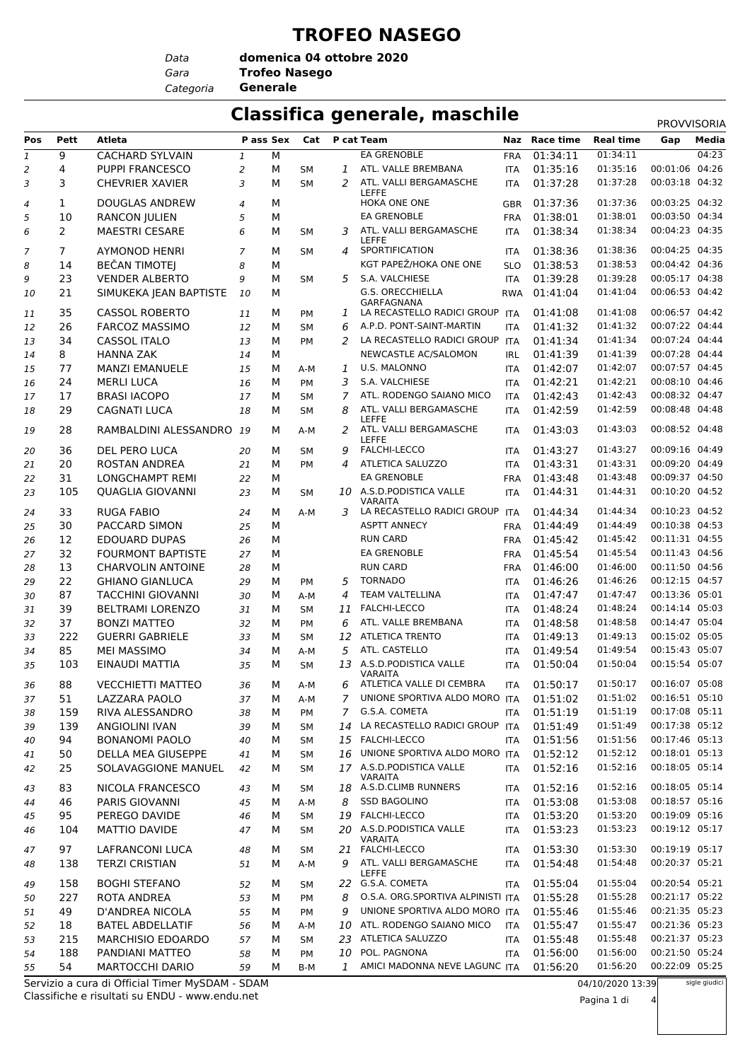#### **TROFEO NASEGO**

*Data*

*Gara* **Trofeo Nasego domenica 04 ottobre 2020**

*Categoria* **Generale**

#### **Classifica generale, maschile** PROVISORIA

|                               |                |                                                 |                |   |           |                |                                                 |            |               |                      | <b>PROVVISORIA</b> |                |
|-------------------------------|----------------|-------------------------------------------------|----------------|---|-----------|----------------|-------------------------------------------------|------------|---------------|----------------------|--------------------|----------------|
| Pos                           | Pett           | Atleta                                          | P ass Sex      |   | Cat       |                | P cat Team                                      |            | Naz Race time | <b>Real time</b>     | Gap                | Media<br>04:23 |
| $\ensuremath{\mathnormal{1}}$ | 9              | <b>CACHARD SYLVAIN</b>                          | $\mathbf{1}$   | М |           |                | EA GRENOBLE                                     | <b>FRA</b> | 01:34:11      | 01:34:11<br>01:35:16 |                    |                |
| 2                             | 4              | PUPPI FRANCESCO                                 | $\overline{a}$ | М | SМ        | 1              | ATL. VALLE BREMBANA                             | <b>ITA</b> | 01:35:16      |                      | 00:01:06           | 04:26          |
| 3                             | 3              | <b>CHEVRIER XAVIER</b>                          | 3              | М | <b>SM</b> | 2              | ATL. VALLI BERGAMASCHE<br><b>LEFFE</b>          | <b>ITA</b> | 01:37:28      | 01:37:28             | 00:03:18           | 04:32          |
| 4                             | $\mathbf{1}$   | <b>DOUGLAS ANDREW</b>                           | $\overline{4}$ | М |           |                | HOKA ONE ONE                                    | <b>GBR</b> | 01:37:36      | 01:37:36             | 00:03:25 04:32     |                |
| 5                             | 10             | <b>RANCON JULIEN</b>                            | 5              | М |           |                | <b>EA GRENOBLE</b>                              | <b>FRA</b> | 01:38:01      | 01:38:01             | 00:03:50 04:34     |                |
| 6                             | 2              | <b>MAESTRI CESARE</b>                           | 6              | М | SМ        | 3              | ATL. VALLI BERGAMASCHE                          | <b>ITA</b> | 01:38:34      | 01:38:34             | 00:04:23 04:35     |                |
| 7                             | $\overline{7}$ | AYMONOD HENRI                                   | $\overline{7}$ | М | SM        | 4              | <b>LEFFE</b><br>SPORTIFICATION                  | <b>ITA</b> | 01:38:36      | 01:38:36             | 00:04:25 04:35     |                |
| 8                             | 14             | <b>BEČAN TIMOTEJ</b>                            | 8              | М |           |                | KGT PAPEŽ/HOKA ONE ONE                          | <b>SLO</b> | 01:38:53      | 01:38:53             | 00:04:42 04:36     |                |
| 9                             | 23             | <b>VENDER ALBERTO</b>                           | 9              | М | <b>SM</b> | 5              | S.A. VALCHIESE                                  | ITA        | 01:39:28      | 01:39:28             | 00:05:17 04:38     |                |
| 10                            | 21             | SIMUKEKA JEAN BAPTISTE                          | 10             | М |           |                | G.S. ORECCHIELLA                                | <b>RWA</b> | 01:41:04      | 01:41:04             | 00:06:53 04:42     |                |
|                               |                |                                                 |                |   |           |                | GARFAGNANA                                      |            |               |                      |                    |                |
| 11                            | 35             | <b>CASSOL ROBERTO</b>                           | 11             | М | PM        | 1              | LA RECASTELLO RADICI GROUP ITA                  |            | 01:41:08      | 01:41:08             | 00:06:57 04:42     |                |
| 12                            | 26             | <b>FARCOZ MASSIMO</b>                           | 12             | М | <b>SM</b> | 6              | A.P.D. PONT-SAINT-MARTIN                        | <b>ITA</b> | 01:41:32      | 01:41:32             | 00:07:22 04:44     |                |
| 13                            | 34             | <b>CASSOL ITALO</b>                             | 13             | м | PM        | 2              | LA RECASTELLO RADICI GROUP ITA                  |            | 01:41:34      | 01:41:34             | 00:07:24 04:44     |                |
| 14                            | 8              | <b>HANNA ZAK</b>                                | 14             | М |           |                | NEWCASTLE AC/SALOMON                            | <b>IRL</b> | 01:41:39      | 01:41:39             | 00:07:28 04:44     |                |
| 15                            | 77             | <b>MANZI EMANUELE</b>                           | 15             | М | A-M       | 1              | U.S. MALONNO                                    | <b>ITA</b> | 01:42:07      | 01:42:07             | 00:07:57 04:45     |                |
| 16                            | 24             | <b>MERLI LUCA</b>                               | 16             | м | <b>PM</b> | 3              | S.A. VALCHIESE                                  | <b>ITA</b> | 01:42:21      | 01:42:21             | 00:08:10 04:46     |                |
| 17                            | 17             | <b>BRASI IACOPO</b>                             | 17             | м | SМ        | 7              | ATL. RODENGO SAIANO MICO                        | <b>ITA</b> | 01:42:43      | 01:42:43             | 00:08:32 04:47     |                |
| 18                            | 29             | <b>CAGNATI LUCA</b>                             | 18             | М | <b>SM</b> | 8              | ATL. VALLI BERGAMASCHE                          | <b>ITA</b> | 01:42:59      | 01:42:59             | 00:08:48 04:48     |                |
| 19                            | 28             | RAMBALDINI ALESSANDRO 19                        |                | М | A-M       | 2              | <b>LEFFE</b><br>ATL. VALLI BERGAMASCHE<br>LEFFE | <b>ITA</b> | 01:43:03      | 01:43:03             | 00:08:52 04:48     |                |
| 20                            | 36             | DEL PERO LUCA                                   | 20             | м | SМ        | 9              | <b>FALCHI-LECCO</b>                             | <b>ITA</b> | 01:43:27      | 01:43:27             | 00:09:16 04:49     |                |
| 21                            | 20             | <b>ROSTAN ANDREA</b>                            | 21             | м | PM        | 4              | ATLETICA SALUZZO                                | <b>ITA</b> | 01:43:31      | 01:43:31             | 00:09:20 04:49     |                |
| 22                            | 31             | LONGCHAMPT REMI                                 | 22             | М |           |                | <b>EA GRENOBLE</b>                              | <b>FRA</b> | 01:43:48      | 01:43:48             | 00:09:37 04:50     |                |
| 23                            | 105            | QUAGLIA GIOVANNI                                | 23             | м | SМ        |                | 10 A.S.D.PODISTICA VALLE<br><b>VARAITA</b>      | <b>ITA</b> | 01:44:31      | 01:44:31             | 00:10:20 04:52     |                |
| 24                            | 33             | <b>RUGA FABIO</b>                               | 24             | М | $A-M$     | 3              | LA RECASTELLO RADICI GROUP ITA                  |            | 01:44:34      | 01:44:34             | 00:10:23 04:52     |                |
| 25                            | 30             | PACCARD SIMON                                   | 25             | М |           |                | <b>ASPTT ANNECY</b>                             | <b>FRA</b> | 01:44:49      | 01:44:49             | 00:10:38 04:53     |                |
| 26                            | 12             | <b>EDOUARD DUPAS</b>                            | 26             | М |           |                | <b>RUN CARD</b>                                 | <b>FRA</b> | 01:45:42      | 01:45:42             | 00:11:31 04:55     |                |
| 27                            | 32             | <b>FOURMONT BAPTISTE</b>                        | 27             | М |           |                | <b>EA GRENOBLE</b>                              | <b>FRA</b> | 01:45:54      | 01:45:54             | 00:11:43 04:56     |                |
| 28                            | 13             | <b>CHARVOLIN ANTOINE</b>                        | 28             | М |           |                | <b>RUN CARD</b>                                 | <b>FRA</b> | 01:46:00      | 01:46:00             | 00:11:50 04:56     |                |
| 29                            | 22             | <b>GHIANO GIANLUCA</b>                          | 29             | М | PM        | 5              | <b>TORNADO</b>                                  | <b>ITA</b> | 01:46:26      | 01:46:26             | 00:12:15 04:57     |                |
| 30                            | 87             | <b>TACCHINI GIOVANNI</b>                        | 30             | М | A-M       | 4              | <b>TEAM VALTELLINA</b>                          | <b>ITA</b> | 01:47:47      | 01:47:47             | 00:13:36 05:01     |                |
| 31                            | 39             | <b>BELTRAMI LORENZO</b>                         | 31             | м | SM        | 11             | <b>FALCHI-LECCO</b>                             | <b>ITA</b> | 01:48:24      | 01:48:24             | 00:14:14 05:03     |                |
| 32                            | 37             | <b>BONZI MATTEO</b>                             | 32             | м | PM        | 6              | ATL. VALLE BREMBANA                             | <b>ITA</b> | 01:48:58      | 01:48:58             | 00:14:47 05:04     |                |
| 33                            | 222            | <b>GUERRI GABRIELE</b>                          | 33             | М | <b>SM</b> | 12             | <b>ATLETICA TRENTO</b>                          | <b>ITA</b> | 01:49:13      | 01:49:13             | 00:15:02 05:05     |                |
| 34                            | 85             | <b>MEI MASSIMO</b>                              | 34             | м | A-M       | 5              | ATL. CASTELLO                                   | <b>ITA</b> | 01:49:54      | 01:49:54             | 00:15:43 05:07     |                |
| 35                            | 103            | EINAUDI MATTIA                                  | 35             | М | <b>SM</b> | 13             | A.S.D. PODISTICA VALLE<br><b>VARAITA</b>        | <b>ITA</b> | 01:50:04      | 01:50:04             | 00:15:54 05:07     |                |
| 36                            | 88             | <b>VECCHIETTI MATTEO</b>                        | 36             | М | A-M       | 6              | ATLETICA VALLE DI CEMBRA                        | ITA        | 01:50:17      | 01:50:17             | 00:16:07 05:08     |                |
| 37                            | 51             | LAZZARA PAOLO                                   | 37             | М | A-M       | 7              | UNIONE SPORTIVA ALDO MORO ITA                   |            | 01:51:02      | 01:51:02             | 00:16:51 05:10     |                |
| 38                            | 159            | RIVA ALESSANDRO                                 | 38             | М | PM        | 7 <sup>7</sup> | G.S.A. COMETA                                   | <b>ITA</b> | 01:51:19      | 01:51:19             | 00:17:08 05:11     |                |
| 39                            | 139            | <b>ANGIOLINI IVAN</b>                           | 39             | М | SM        | 14             | LA RECASTELLO RADICI GROUP ITA                  |            | 01:51:49      | 01:51:49             | 00:17:38 05:12     |                |
| 40                            | 94             | <b>BONANOMI PAOLO</b>                           | 40             | М | SМ        |                | 15 FALCHI-LECCO                                 | <b>ITA</b> | 01:51:56      | 01:51:56             | 00:17:46 05:13     |                |
| 41                            | 50             | DELLA MEA GIUSEPPE                              | 41             | М | SМ        | 16             | UNIONE SPORTIVA ALDO MORO ITA                   |            | 01:52:12      | 01:52:12             | 00:18:01 05:13     |                |
| 42                            | 25             | SOLAVAGGIONE MANUEL                             | 42             | М | SM        |                | 17 A.S.D.PODISTICA VALLE<br>VARAITA             | <b>ITA</b> | 01:52:16      | 01:52:16             | 00:18:05 05:14     |                |
| 43                            | 83             | NICOLA FRANCESCO                                | 43             | М | SМ        |                | 18 A.S.D.CLIMB RUNNERS                          | <b>ITA</b> | 01:52:16      | 01:52:16             | 00:18:05 05:14     |                |
| 44                            | 46             | <b>PARIS GIOVANNI</b>                           | 45             | М | A-M       | 8              | <b>SSD BAGOLINO</b>                             | <b>ITA</b> | 01:53:08      | 01:53:08             | 00:18:57 05:16     |                |
| 45                            | 95             | PEREGO DAVIDE                                   | 46             | М | SM        |                | 19 FALCHI-LECCO                                 | <b>ITA</b> | 01:53:20      | 01:53:20             | 00:19:09 05:16     |                |
| 46                            | 104            | MATTIO DAVIDE                                   | 47             | М | SМ        |                | 20 A.S.D. PODISTICA VALLE<br><b>VARAITA</b>     | <b>ITA</b> | 01:53:23      | 01:53:23             | 00:19:12 05:17     |                |
| 47                            | 97             | <b>LAFRANCONI LUCA</b>                          | 48             | М | SМ        |                | 21 FALCHI-LECCO                                 | <b>ITA</b> | 01:53:30      | 01:53:30             | 00:19:19 05:17     |                |
| 48                            | 138            | <b>TERZI CRISTIAN</b>                           | 51             | м | A-M       | 9              | ATL. VALLI BERGAMASCHE<br><b>LEFFE</b>          | <b>ITA</b> | 01:54:48      | 01:54:48             | 00:20:37 05:21     |                |
| 49                            | 158            | <b>BOGHI STEFANO</b>                            | 52             | М | SМ        |                | 22 G.S.A. COMETA                                | <b>ITA</b> | 01:55:04      | 01:55:04             | 00:20:54 05:21     |                |
| 50                            | 227            | ROTA ANDREA                                     | 53             | М | PM        | 8              | O.S.A. ORG.SPORTIVA ALPINISTI ITA               |            | 01:55:28      | 01:55:28             | 00:21:17 05:22     |                |
| 51                            | 49             | D'ANDREA NICOLA                                 | 55             | М | PM        | 9              | UNIONE SPORTIVA ALDO MORO ITA                   |            | 01:55:46      | 01:55:46             | 00:21:35 05:23     |                |
| 52                            | 18             | <b>BATEL ABDELLATIF</b>                         | 56             | м | A-M       | 10             | ATL. RODENGO SAIANO MICO                        | <b>ITA</b> | 01:55:47      | 01:55:47             | 00:21:36 05:23     |                |
| 53                            | 215            | <b>MARCHISIO EDOARDO</b>                        | 57             | М | SМ        |                | 23 ATLETICA SALUZZO                             | <b>ITA</b> | 01:55:48      | 01:55:48             | 00:21:37 05:23     |                |
| 54                            | 188            | PANDIANI MATTEO                                 | 58             | м | PM        | 10             | POL. PAGNONA                                    | <b>ITA</b> | 01:56:00      | 01:56:00             | 00:21:50 05:24     |                |
| 55                            | 54             | <b>MARTOCCHI DARIO</b>                          | 59             | м | B-M       | 1              | AMICI MADONNA NEVE LAGUNC ITA                   |            | 01:56:20      | 01:56:20             | 00:22:09 05:25     |                |
|                               |                | Servizio a cura di Official Timer MySDAM - SDAM |                |   |           |                |                                                 |            |               | 04/10/2020 13:39     |                    | sigle giudici  |

Classifiche e risultati su ENDU - www.endu.net Servizio a cura di Official Timer MySDAM - SDAM 04/10/2020 13:39 Pagina 1 di 4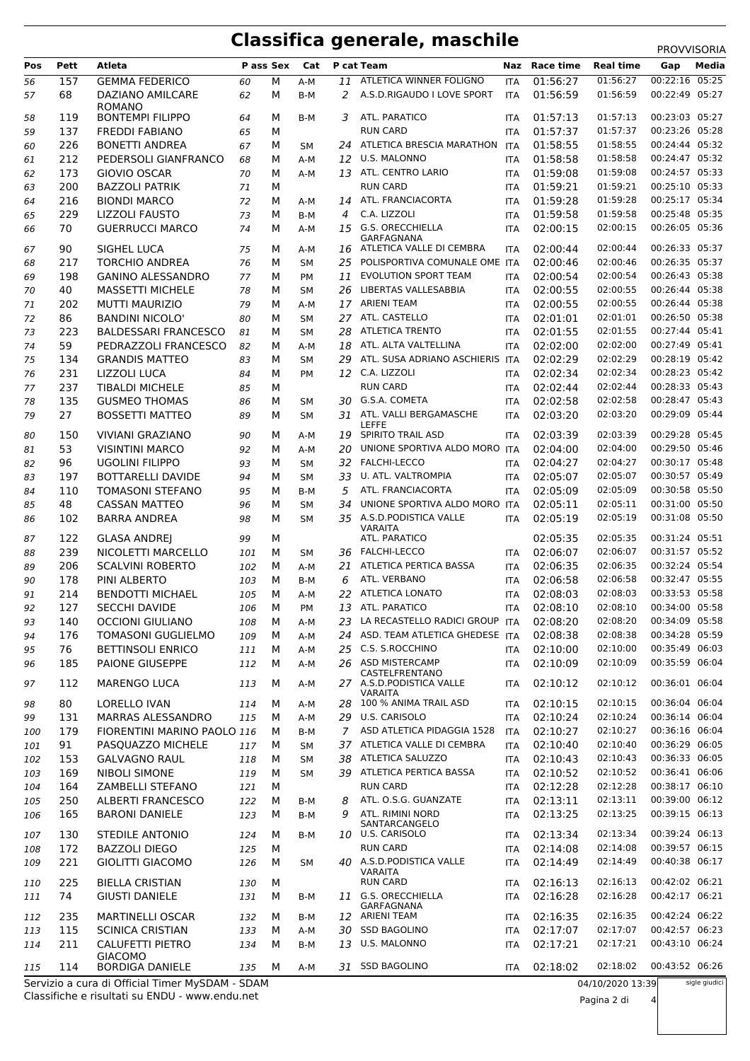### **Classifica generale, maschile** PROVVISORIA

|     |      |                                                 |           |   |           |     |                                     |            |               |                    | <b>FNUVVIJUNIA</b> |               |
|-----|------|-------------------------------------------------|-----------|---|-----------|-----|-------------------------------------|------------|---------------|--------------------|--------------------|---------------|
| Pos | Pett | Atleta                                          | P ass Sex |   | Cat       |     | P cat Team                          |            | Naz Race time | <b>Real time</b>   | Gap                | Media         |
| 56  | 157  | <b>GEMMA FEDERICO</b>                           | 60        | М | A-M       | 11  | ATLETICA WINNER FOLIGNO             | <b>ITA</b> | 01:56:27      | 01:56:27           | 00:22:16 05:25     |               |
| 57  | 68   | <b>DAZIANO AMILCARE</b>                         | 62        | М | B-M       | 2   | A.S.D.RIGAUDO I LOVE SPORT          | <b>ITA</b> | 01:56:59      | 01:56:59           | 00:22:49 05:27     |               |
|     |      | <b>ROMANO</b>                                   |           |   |           |     |                                     |            |               |                    |                    |               |
| 58  | 119  | <b>BONTEMPI FILIPPO</b>                         | 64        | М | B-M       | 3   | ATL. PARATICO                       | <b>ITA</b> | 01:57:13      | 01:57:13           | 00:23:03 05:27     |               |
| 59  | 137  | <b>FREDDI FABIANO</b>                           | 65        | M |           |     | <b>RUN CARD</b>                     | <b>ITA</b> | 01:57:37      | 01:57:37           | 00:23:26 05:28     |               |
| 60  | 226  | <b>BONETTI ANDREA</b>                           | 67        | м | SΜ        |     | 24 ATLETICA BRESCIA MARATHON        | <b>ITA</b> | 01:58:55      | 01:58:55           | 00:24:44 05:32     |               |
| 61  | 212  | PEDERSOLI GIANFRANCO                            | 68        | М | A-M       |     | 12 U.S. MALONNO                     | <b>ITA</b> | 01:58:58      | 01:58:58           | 00:24:47 05:32     |               |
| 62  | 173  | <b>GIOVIO OSCAR</b>                             | 70        | М | A-M       |     | 13 ATL. CENTRO LARIO                | <b>ITA</b> | 01:59:08      | 01:59:08           | 00:24:57 05:33     |               |
| 63  | 200  | <b>BAZZOLI PATRIK</b>                           | 71        | М |           |     | <b>RUN CARD</b>                     | <b>ITA</b> | 01:59:21      | 01:59:21           | 00:25:10 05:33     |               |
| 64  | 216  | <b>BIONDI MARCO</b>                             | 72        | М | A-M       |     | 14 ATL. FRANCIACORTA                | <b>ITA</b> | 01:59:28      | 01:59:28           | 00:25:17 05:34     |               |
| 65  | 229  | <b>LIZZOLI FAUSTO</b>                           | 73        | М | B-M       | 4   | C.A. LIZZOLI                        | <b>ITA</b> | 01:59:58      | 01:59:58           | 00:25:48 05:35     |               |
| 66  | 70   | <b>GUERRUCCI MARCO</b>                          | 74        | М | A-M       |     | 15 G.S. ORECCHIELLA                 | <b>ITA</b> | 02:00:15      | 02:00:15           | 00:26:05 05:36     |               |
|     |      |                                                 |           |   |           |     | <b>GARFAGNANA</b>                   |            |               |                    |                    |               |
| 67  | 90   | SIGHEL LUCA                                     | 75        | М | A-M       | 16  | ATLETICA VALLE DI CEMBRA            | <b>ITA</b> | 02:00:44      | 02:00:44           | 00:26:33 05:37     |               |
| 68  | 217  | <b>TORCHIO ANDREA</b>                           | 76        | М | SM        | 25  | POLISPORTIVA COMUNALE OME ITA       |            | 02:00:46      | 02:00:46           | 00:26:35 05:37     |               |
| 69  | 198  | <b>GANINO ALESSANDRO</b>                        | 77        | М | PM        | 11  | <b>EVOLUTION SPORT TEAM</b>         | <b>ITA</b> | 02:00:54      | 02:00:54           | 00:26:43 05:38     |               |
| 70  | 40   | <b>MASSETTI MICHELE</b>                         | 78        | М | SМ        | 26  | LIBERTAS VALLESABBIA                | <b>ITA</b> | 02:00:55      | 02:00:55           | 00:26:44 05:38     |               |
| 71  | 202  | <b>MUTTI MAURIZIO</b>                           | 79        | М | A-M       |     | 17 ARIENI TEAM                      | <b>ITA</b> | 02:00:55      | 02:00:55           | 00:26:44 05:38     |               |
| 72  | 86   | <b>BANDINI NICOLO'</b>                          | 80        | M | <b>SM</b> |     | 27 ATL. CASTELLO                    | <b>ITA</b> | 02:01:01      | 02:01:01           | 00:26:50 05:38     |               |
|     |      |                                                 |           | м |           |     | <b>ATLETICA TRENTO</b>              |            | 02:01:55      | 02:01:55           | 00:27:44 05:41     |               |
| 73  | 223  | <b>BALDESSARI FRANCESCO</b>                     | 81        |   | SM        | 28  |                                     | <b>ITA</b> |               |                    |                    |               |
| 74  | 59   | PEDRAZZOLI FRANCESCO                            | 82        | М | A-M       | 18  | ATL. ALTA VALTELLINA                | <b>ITA</b> | 02:02:00      | 02:02:00           | 00:27:49 05:41     |               |
| 75  | 134  | <b>GRANDIS MATTEO</b>                           | 83        | М | <b>SM</b> | 29  | ATL. SUSA ADRIANO ASCHIERIS ITA     |            | 02:02:29      | 02:02:29           | 00:28:19 05:42     |               |
| 76  | 231  | <b>LIZZOLI LUCA</b>                             | 84        | М | PM        |     | 12 C.A. LIZZOLI                     | <b>ITA</b> | 02:02:34      | 02:02:34           | 00:28:23 05:42     |               |
| 77  | 237  | <b>TIBALDI MICHELE</b>                          | 85        | М |           |     | <b>RUN CARD</b>                     | <b>ITA</b> | 02:02:44      | 02:02:44           | 00:28:33 05:43     |               |
| 78  | 135  | <b>GUSMEO THOMAS</b>                            | 86        | М | SМ        |     | 30 G.S.A. COMETA                    | ITA        | 02:02:58      | 02:02:58           | 00:28:47 05:43     |               |
| 79  | 27   | <b>BOSSETTI MATTEO</b>                          | 89        | м | SM        |     | 31 ATL. VALLI BERGAMASCHE           | <b>ITA</b> | 02:03:20      | 02:03:20           | 00:29:09 05:44     |               |
|     |      |                                                 |           |   |           |     | <b>LEFFE</b>                        |            |               |                    |                    |               |
| 80  | 150  | <b>VIVIANI GRAZIANO</b>                         | 90        | М | A-M       | 19  | SPIRITO TRAIL ASD                   | <b>ITA</b> | 02:03:39      | 02:03:39           | 00:29:28 05:45     |               |
| 81  | 53   | <b>VISINTINI MARCO</b>                          | 92        | м | A-M       | 20  | UNIONE SPORTIVA ALDO MORO ITA       |            | 02:04:00      | 02:04:00           | 00:29:50 05:46     |               |
| 82  | 96   | <b>UGOLINI FILIPPO</b>                          | 93        | М | <b>SM</b> | 32  | <b>FALCHI-LECCO</b>                 | <b>ITA</b> | 02:04:27      | 02:04:27           | 00:30:17 05:48     |               |
| 83  | 197  | <b>BOTTARELLI DAVIDE</b>                        | 94        | M | <b>SM</b> | 33  | U. ATL. VALTROMPIA                  | <b>ITA</b> | 02:05:07      | 02:05:07           | 00:30:57 05:49     |               |
| 84  | 110  | <b>TOMASONI STEFANO</b>                         | 95        | м | B-M       | 5   | ATL. FRANCIACORTA                   | <b>ITA</b> | 02:05:09      | 02:05:09           | 00:30:58 05:50     |               |
| 85  | 48   | <b>CASSAN MATTEO</b>                            | 96        | М | <b>SM</b> | 34  | UNIONE SPORTIVA ALDO MORO ITA       |            | 02:05:11      | 02:05:11           | 00:31:00 05:50     |               |
| 86  | 102  | <b>BARRA ANDREA</b>                             | 98        | M | <b>SM</b> | 35  | A.S.D.PODISTICA VALLE               | <b>ITA</b> | 02:05:19      | 02:05:19           | 00:31:08 05:50     |               |
|     |      |                                                 |           |   |           |     | <b>VARAITA</b>                      |            |               |                    |                    |               |
| 87  | 122  | <b>GLASA ANDREJ</b>                             | 99        | м |           |     | ATL. PARATICO                       |            | 02:05:35      | 02:05:35           | 00:31:24 05:51     |               |
| 88  | 239  | NICOLETTI MARCELLO                              | 101       | м | SМ        |     | 36 FALCHI-LECCO                     | <b>ITA</b> | 02:06:07      | 02:06:07           | 00:31:57 05:52     |               |
| 89  | 206  | <b>SCALVINI ROBERTO</b>                         | 102       | м | A-M       | 21  | ATLETICA PERTICA BASSA              | <b>ITA</b> | 02:06:35      | 02:06:35           | 00:32:24 05:54     |               |
| 90  | 178  | PINI ALBERTO                                    | 103       | м | B-M       | 6   | ATL. VERBANO                        | <b>ITA</b> | 02:06:58      | 02:06:58           | 00:32:47 05:55     |               |
| 91  | 214  | <b>BENDOTTI MICHAEL</b>                         | 105       | М | A-M       | 22  | <b>ATLETICA LONATO</b>              | <b>ITA</b> | 02:08:03      | 02:08:03           | 00:33:53 05:58     |               |
| 92  | 127  | <b>SECCHI DAVIDE</b>                            | 106       | M | PM        |     | 13 ATL. PARATICO                    | <b>ITA</b> | 02:08:10      | 02:08:10           | 00:34:00 05:58     |               |
| 93  | 140  | <b>OCCIONI GIULIANO</b>                         | 108       | м | A-M       | 23. | LA RECASTELLO RADICI GROUP ITA      |            | 02:08:20      | 02:08:20           | 00:34:09 05:58     |               |
|     |      | <b>TOMASONI GUGLIELMO</b>                       |           |   |           |     | 24 ASD. TEAM ATLETICA GHEDESE ITA   |            |               | 02:08:38           | 00:34:28 05:59     |               |
| 94  | 176  |                                                 | 109       | м | A-M       |     |                                     |            | 02:08:38      |                    |                    |               |
| 95  | 76   | <b>BETTINSOLI ENRICO</b>                        | 111       | м | A-M       |     | 25 C.S. S.ROCCHINO                  | <b>ITA</b> | 02:10:00      | 02:10:00           | 00:35:49 06:03     |               |
| 96  | 185  | PAIONE GIUSEPPE                                 | 112       | м | A-M       |     | 26 ASD MISTERCAMP<br>CASTELFRENTANO | ITA        | 02:10:09      | 02:10:09           | 00:35:59 06:04     |               |
| 97  | 112  | <b>MARENGO LUCA</b>                             | 113       | м | A-M       |     | 27 A.S.D.PODISTICA VALLE            | <b>ITA</b> | 02:10:12      | 02:10:12           | 00:36:01 06:04     |               |
|     |      |                                                 |           |   |           |     | <b>VARAITA</b>                      |            |               |                    |                    |               |
| 98  | 80   | LORELLO IVAN                                    | 114       | м | A-M       |     | 28 100 % ANIMA TRAIL ASD            | ITA        | 02:10:15      | 02:10:15           | 00:36:04 06:04     |               |
| 99  | 131  | <b>MARRAS ALESSANDRO</b>                        | 115       | м | A-M       |     | 29 U.S. CARISOLO                    | <b>ITA</b> | 02:10:24      | 02:10:24           | 00:36:14 06:04     |               |
| 100 | 179  | FIORENTINI MARINO PAOLO 116                     |           | М | B-M       |     | 7 ASD ATLETICA PIDAGGIA 1528        | <b>ITA</b> | 02:10:27      | 02:10:27           | 00:36:16 06:04     |               |
| 101 | 91   | PASQUAZZO MICHELE                               | 117       | м | SΜ        | 37  | ATLETICA VALLE DI CEMBRA            | ITA        | 02:10:40      | 02:10:40           | 00:36:29 06:05     |               |
| 102 | 153  | <b>GALVAGNO RAUL</b>                            | 118       | м | SМ        | 38  | ATLETICA SALUZZO                    | ITA        | 02:10:43      | 02:10:43           | 00:36:33 06:05     |               |
| 103 | 169  | <b>NIBOLI SIMONE</b>                            | 119       | м | <b>SM</b> |     | 39 ATLETICA PERTICA BASSA           | ITA        | 02:10:52      | 02:10:52           | 00:36:41 06:06     |               |
|     | 164  | ZAMBELLI STEFANO                                | 121       | м |           |     | <b>RUN CARD</b>                     | ITA        | 02:12:28      | 02:12:28           | 00:38:17 06:10     |               |
| 104 |      |                                                 |           |   |           |     | ATL. O.S.G. GUANZATE                |            |               |                    | 00:39:00 06:12     |               |
| 105 | 250  | <b>ALBERTI FRANCESCO</b>                        | 122       | м | B-M       | 8   |                                     | ITA        | 02:13:11      | 02:13:11           |                    |               |
| 106 | 165  | <b>BARONI DANIELE</b>                           | 123       | м | B-M       | 9   | ATL. RIMINI NORD<br>SANTARCANGELO   | ITA        | 02:13:25      | 02:13:25           | 00:39:15 06:13     |               |
| 107 | 130  | <b>STEDILE ANTONIO</b>                          | 124       | м | B-M       |     | 10 U.S. CARISOLO                    | ITA        | 02:13:34      | 02:13:34           | 00:39:24 06:13     |               |
| 108 | 172  | <b>BAZZOLI DIEGO</b>                            | 125       | М |           |     | <b>RUN CARD</b>                     | ITA        | 02:14:08      | 02:14:08           | 00:39:57 06:15     |               |
| 109 | 221  | <b>GIOLITTI GIACOMO</b>                         | 126       | м | SМ        |     | 40 A.S.D. PODISTICA VALLE           | ITA        | 02:14:49      | 02:14:49           | 00:40:38 06:17     |               |
|     |      |                                                 |           |   |           |     | VARAITA                             |            |               |                    |                    |               |
| 110 | 225  | <b>BIELLA CRISTIAN</b>                          | 130       | м |           |     | <b>RUN CARD</b>                     | ITA        | 02:16:13      | 02:16:13           | 00:42:02 06:21     |               |
| 111 | 74   | <b>GIUSTI DANIELE</b>                           | 131       | м | B-M       |     | 11 G.S. ORECCHIELLA                 | ITA        | 02:16:28      | 02:16:28           | 00:42:17 06:21     |               |
|     |      |                                                 |           |   |           |     | GARFAGNANA                          |            |               |                    |                    |               |
| 112 | 235  | <b>MARTINELLI OSCAR</b>                         | 132       | м | B-M       |     | 12 ARIENI TEAM                      | ITA        | 02:16:35      | 02:16:35           | 00:42:24 06:22     |               |
| 113 | 115  | <b>SCINICA CRISTIAN</b>                         | 133       | м | A-M       | 30  | <b>SSD BAGOLINO</b>                 | ITA        | 02:17:07      | 02:17:07           | 00:42:57 06:23     |               |
| 114 | 211  | <b>CALUFETTI PIETRO</b>                         | 134       | м | B-M       |     | 13 U.S. MALONNO                     | ITA        | 02:17:21      | 02:17:21           | 00:43:10 06:24     |               |
|     |      | <b>GIACOMO</b>                                  |           |   |           |     |                                     |            |               |                    |                    |               |
| 115 | 114  | <b>BORDIGA DANIELE</b>                          | 135       | м | A-M       |     | 31 SSD BAGOLINO                     | <b>ITA</b> | 02:18:02      | 02:18:02           | 00:43:52 06:26     |               |
|     |      | Servizio a cura di Official Timer MySDAM - SDAM |           |   |           |     |                                     |            |               | $04/10/2020$ 13.39 |                    | sigle giudici |

Classifiche e risultati su ENDU - www.endu.net Servizio a cura di Official Timer MySDAM - SDAM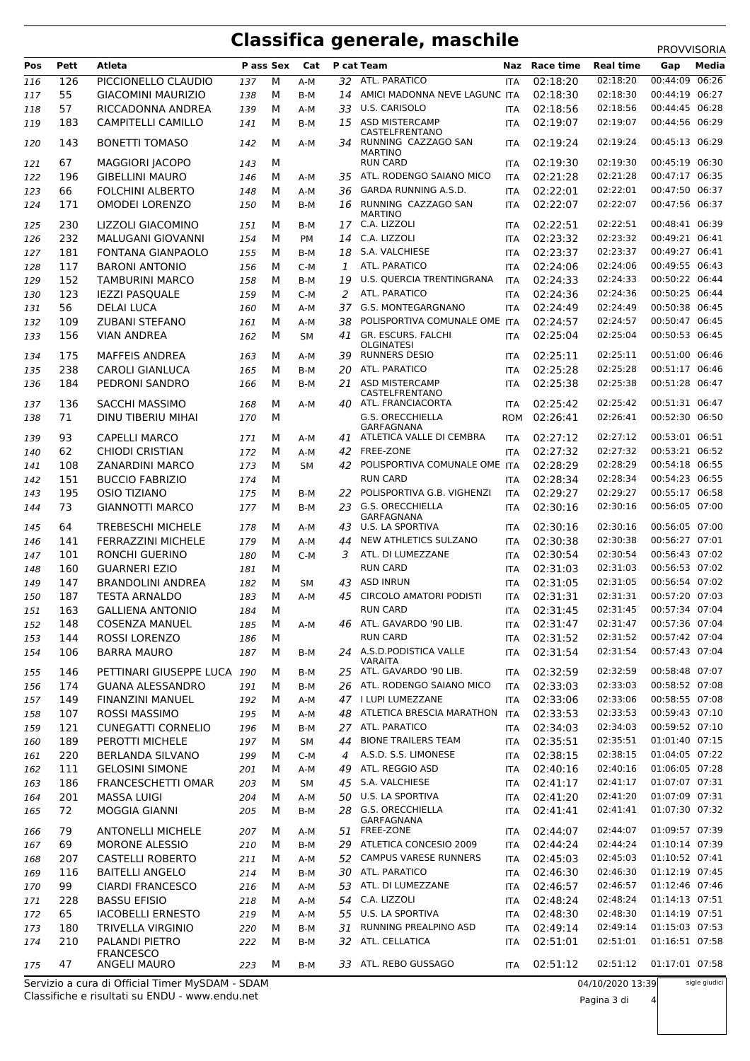# **Classifica generale, maschile** PROVVISORIA

| Pos        | Pett       | Atleta                                             | P ass Sex  |        | Cat              |                | P cat Team                                                         | Naz                      | <b>Race time</b>     | <b>Real time</b>     | Gap                              | Media         |
|------------|------------|----------------------------------------------------|------------|--------|------------------|----------------|--------------------------------------------------------------------|--------------------------|----------------------|----------------------|----------------------------------|---------------|
| 116        | 126        | PICCIONELLO CLAUDIO                                | 137        | М      | A-M              | 32             | ATL. PARATICO                                                      | <b>ITA</b>               | 02:18:20             | 02:18:20             | 00:44:09                         | 06:26         |
| 117        | 55         | <b>GIACOMINI MAURIZIO</b>                          | 138        | М      | B-M              | 14             | AMICI MADONNA NEVE LAGUNC ITA                                      |                          | 02:18:30             | 02:18:30             | 00:44:19 06:27                   |               |
| 118        | 57         | RICCADONNA ANDREA                                  | 139        | М      | A-M              | 33             | U.S. CARISOLO                                                      | <b>ITA</b>               | 02:18:56             | 02:18:56             | 00:44:45 06:28                   |               |
| 119        | 183        | <b>CAMPITELLI CAMILLO</b>                          | 141        | М      | B-M              | 15             | <b>ASD MISTERCAMP</b>                                              | <b>ITA</b>               | 02:19:07             | 02:19:07             | 00:44:56 06:29                   |               |
| 120        | 143        | <b>BONETTI TOMASO</b>                              | 142        | М      | A-M              | 34             | CASTELFRENTANO<br>RUNNING CAZZAGO SAN<br><b>MARTINO</b>            | <b>ITA</b>               | 02:19:24             | 02:19:24             | 00:45:13 06:29                   |               |
| 121        | 67         | <b>MAGGIORI JACOPO</b>                             | 143        | М      |                  |                | <b>RUN CARD</b>                                                    | <b>ITA</b>               | 02:19:30             | 02:19:30             | 00:45:19 06:30                   |               |
| 122        | 196        | <b>GIBELLINI MAURO</b>                             | 146        | м      | A-M              | 35             | ATL. RODENGO SAIANO MICO                                           | <b>ITA</b>               | 02:21:28             | 02:21:28             | 00:47:17 06:35                   |               |
| 123        | 66         | <b>FOLCHINI ALBERTO</b>                            | 148        | М      | A-M              | 36             | GARDA RUNNING A.S.D.                                               | <b>ITA</b>               | 02:22:01             | 02:22:01             | 00:47:50 06:37                   |               |
| 124        | 171        | <b>OMODEI LORENZO</b>                              | 150        | м      | B-M              | 16             | RUNNING CAZZAGO SAN<br><b>MARTINO</b>                              | <b>ITA</b>               | 02:22:07             | 02:22:07             | 00:47:56 06:37                   |               |
| 125        | 230        | LIZZOLI GIACOMINO                                  | 151        | м      | B-M              | 17             | C.A. LIZZOLI                                                       | <b>ITA</b>               | 02:22:51             | 02:22:51             | 00:48:41 06:39                   |               |
| 126        | 232        | MALUGANI GIOVANNI                                  | 154        | м      | <b>PM</b>        | 14             | C.A. LIZZOLI                                                       | <b>ITA</b>               | 02:23:32             | 02:23:32             | 00:49:21 06:41                   |               |
| 127        | 181        | <b>FONTANA GIANPAOLO</b>                           | 155        | М      | B-M              | 18             | S.A. VALCHIESE                                                     | <b>ITA</b>               | 02:23:37             | 02:23:37             | 00:49:27 06:41                   |               |
| 128        | 117        | <b>BARONI ANTONIO</b>                              | 156        | М      | C-M              | 1              | ATL. PARATICO                                                      | <b>ITA</b>               | 02:24:06             | 02:24:06             | 00:49:55 06:43                   |               |
| 129        | 152        | <b>TAMBURINI MARCO</b>                             | 158        | м      | B-M              | 19             | U.S. QUERCIA TRENTINGRANA                                          | <b>ITA</b>               | 02:24:33             | 02:24:33             | 00:50:22 06:44                   |               |
| 130        | 123        | <b>IEZZI PASQUALE</b>                              | 159        | М      | $C-M$            | 2              | ATL. PARATICO                                                      | <b>ITA</b>               | 02:24:36             | 02:24:36             | 00:50:25 06:44                   |               |
| 131        | 56         | <b>DELAI LUCA</b>                                  | 160        | М      | A-M              | 37             | G.S. MONTEGARGNANO                                                 | <b>ITA</b>               | 02:24:49             | 02:24:49             | 00:50:38 06:45                   |               |
| 132        | 109        | <b>ZUBANI STEFANO</b>                              | 161        | М      | A-M              | 38             | POLISPORTIVA COMUNALE OME ITA                                      |                          | 02:24:57             | 02:24:57             | 00:50:47 06:45                   |               |
| 133<br>134 | 156<br>175 | <b>VIAN ANDREA</b><br><b>MAFFEIS ANDREA</b>        | 162<br>163 | М<br>м | <b>SM</b><br>A-M | 39             | 41 GR. ESCURS. FALCHI<br><b>OLGINATESI</b><br><b>RUNNERS DESIO</b> | <b>ITA</b><br><b>ITA</b> | 02:25:04<br>02:25:11 | 02:25:04<br>02:25:11 | 00:50:53 06:45<br>00:51:00 06:46 |               |
| 135        | 238        | <b>CAROLI GIANLUCA</b>                             | 165        | M      | B-M              | 20             | ATL. PARATICO                                                      | <b>ITA</b>               | 02:25:28             | 02:25:28             | 00:51:17 06:46                   |               |
| 136        | 184        | PEDRONI SANDRO                                     | 166        | М      | B-M              | 21             | <b>ASD MISTERCAMP</b>                                              | <b>ITA</b>               | 02:25:38             | 02:25:38             | 00:51:28 06:47                   |               |
| 137        | 136        | <b>SACCHI MASSIMO</b>                              | 168        | M      | A-M              | 40             | CASTELFRENTANO<br>ATL. FRANCIACORTA                                | <b>ITA</b>               | 02:25:42             | 02:25:42             | 00:51:31 06:47                   |               |
| 138        | 71         | <b>DINU TIBERIU MIHAI</b>                          | 170        | М      |                  |                | <b>G.S. ORECCHIELLA</b>                                            | <b>ROM</b>               | 02:26:41             | 02:26:41             | 00:52:30 06:50                   |               |
| 139        | 93         | <b>CAPELLI MARCO</b>                               | 171        | М      | A-M              | 41             | GARFAGNANA<br>ATLETICA VALLE DI CEMBRA                             | <b>ITA</b>               | 02:27:12             | 02:27:12             | 00:53:01 06:51                   |               |
| 140        | 62         | <b>CHIODI CRISTIAN</b>                             | 172        | м      | A-M              | 42             | <b>FREE-ZONE</b>                                                   | <b>ITA</b>               | 02:27:32             | 02:27:32             | 00:53:21 06:52                   |               |
| 141        | 108        | <b>ZANARDINI MARCO</b>                             | 173        | м      | <b>SM</b>        | 42             | POLISPORTIVA COMUNALE OME ITA                                      |                          | 02:28:29             | 02:28:29             | 00:54:18 06:55                   |               |
| 142        | 151        | <b>BUCCIO FABRIZIO</b>                             | 174        | М      |                  |                | <b>RUN CARD</b>                                                    | <b>ITA</b>               | 02:28:34             | 02:28:34             | 00:54:23 06:55                   |               |
| 143        | 195        | <b>OSIO TIZIANO</b>                                | 175        | М      | B-M              | 22             | POLISPORTIVA G.B. VIGHENZI                                         | <b>ITA</b>               | 02:29:27             | 02:29:27             | 00:55:17 06:58                   |               |
| 144<br>145 | 73<br>64   | <b>GIANNOTTI MARCO</b><br><b>TREBESCHI MICHELE</b> | 177<br>178 | м<br>м | B-M<br>A-M       | 23<br>43       | <b>G.S. ORECCHIELLA</b><br>GARFAGNANA<br>U.S. LA SPORTIVA          | <b>ITA</b><br><b>ITA</b> | 02:30:16<br>02:30:16 | 02:30:16<br>02:30:16 | 00:56:05 07:00<br>00:56:05 07:00 |               |
| 146        | 141        | <b>FERRAZZINI MICHELE</b>                          | 179        | м      | A-M              | 44             | NEW ATHLETICS SULZANO                                              | <b>ITA</b>               | 02:30:38             | 02:30:38             | 00:56:27 07:01                   |               |
| 147        | 101        | <b>RONCHI GUERINO</b>                              | 180        | М      | C-M              | 3              | ATL. DI LUMEZZANE                                                  | <b>ITA</b>               | 02:30:54             | 02:30:54             | 00:56:43 07:02                   |               |
| 148        | 160        | <b>GUARNERI EZIO</b>                               | 181        | м      |                  |                | <b>RUN CARD</b>                                                    | <b>ITA</b>               | 02:31:03             | 02:31:03             | 00:56:53 07:02                   |               |
| 149        | 147        | <b>BRANDOLINI ANDREA</b>                           | 182        | м      | <b>SM</b>        | 43             | <b>ASD INRUN</b>                                                   | <b>ITA</b>               | 02:31:05             | 02:31:05             | 00:56:54 07:02                   |               |
| 150        | 187        | <b>TESTA ARNALDO</b>                               | 183        | M      | A-M              | 45             | <b>CIRCOLO AMATORI PODISTI</b>                                     | <b>ITA</b>               | 02:31:31             | 02:31:31             | 00:57:20 07:03                   |               |
| 151        | 163        | <b>GALLIENA ANTONIO</b>                            | 184        | М      |                  |                | <b>RUN CARD</b>                                                    | <b>ITA</b>               | 02:31:45             | 02:31:45             | 00:57:34 07:04                   |               |
| 152        | 148        | <b>COSENZA MANUEL</b>                              | 185        | М      | A-M              |                | 46 ATL. GAVARDO '90 LIB.                                           | ITA                      | 02:31:47             | 02:31:47             | 00:57:36 07:04                   |               |
| 153        | 144        | <b>ROSSI LORENZO</b>                               | 186        | м      |                  |                | <b>RUN CARD</b>                                                    | <b>ITA</b>               | 02:31:52             | 02:31:52             | 00:57:42 07:04                   |               |
| 154        | 106        | <b>BARRA MAURO</b>                                 | 187        | м      | B-M              |                | 24 A.S.D.PODISTICA VALLE<br>VARAITA                                | ITA                      | 02:31:54             | 02:31:54             | 00:57:43 07:04                   |               |
| 155        | 146        | PETTINARI GIUSEPPE LUCA 190                        |            | м      | B-M              |                | 25 ATL. GAVARDO '90 LIB.                                           | <b>ITA</b>               | 02:32:59             | 02:32:59             | 00:58:48 07:07                   |               |
| 156        | 174        | <b>GUANA ALESSANDRO</b>                            | 191        | м      | B-M              |                | 26 ATL. RODENGO SAIANO MICO                                        | ITA                      | 02:33:03             | 02:33:03             | 00:58:52 07:08                   |               |
| 157        | 149        | <b>FINANZINI MANUEL</b>                            | 192        | м      | A-M              |                | 47 I LUPI LUMEZZANE                                                | ITA                      | 02:33:06             | 02:33:06             | 00:58:55 07:08                   |               |
| 158        | 107        | ROSSI MASSIMO                                      | 195        | м      | A-M              |                | 48 ATLETICA BRESCIA MARATHON                                       | ITA                      | 02:33:53             | 02:33:53             | 00:59:43 07:10                   |               |
| 159        | 121        | <b>CUNEGATTI CORNELIO</b>                          | 196        | м      | B-M              |                | 27 ATL. PARATICO                                                   | <b>ITA</b>               | 02:34:03             | 02:34:03             | 00:59:52 07:10                   |               |
| 160        | 189        | PEROTTI MICHELE                                    | 197        | м      | <b>SM</b>        | 44             | <b>BIONE TRAILERS TEAM</b>                                         | ITA                      | 02:35:51             | 02:35:51             | 01:01:40 07:15                   |               |
| 161        | 220        | <b>BERLANDA SILVANO</b>                            | 199        | м      | C-M              | $\overline{4}$ | A.S.D. S.S. LIMONESE                                               | ITA                      | 02:38:15             | 02:38:15             | 01:04:05 07:22                   |               |
| 162        | 111        | <b>GELOSINI SIMONE</b>                             | 201        | м      | A-M              | 49             | ATL. REGGIO ASD                                                    | ITA                      | 02:40:16             | 02:40:16             | 01:06:05 07:28                   |               |
| 163        | 186        | <b>FRANCESCHETTI OMAR</b>                          | 203        | м      | SM               |                | 45 S.A. VALCHIESE                                                  | <b>ITA</b>               | 02:41:17             | 02:41:17             | 01:07:07 07:31                   |               |
| 164        | 201        | <b>MASSA LUIGI</b>                                 | 204        | м      | A-M              |                | 50 U.S. LA SPORTIVA                                                | <b>ITA</b>               | 02:41:20             | 02:41:20             | 01:07:09 07:31                   |               |
| 165<br>166 | 72<br>79   | MOGGIA GIANNI<br><b>ANTONELLI MICHELE</b>          | 205<br>207 | м<br>м | B-M<br>A-M       |                | 28 G.S. ORECCHIELLA<br>GARFAGNANA<br>51 FREE-ZONE                  | <b>ITA</b><br>ITA        | 02:41:41<br>02:44:07 | 02:41:41<br>02:44:07 | 01:07:30 07:32<br>01:09:57 07:39 |               |
| 167        | 69         | <b>MORONE ALESSIO</b>                              | 210        | м      | B-M              |                | 29 ATLETICA CONCESIO 2009                                          | <b>ITA</b>               | 02:44:24             | 02:44:24             | 01:10:14 07:39                   |               |
| 168        | 207        | <b>CASTELLI ROBERTO</b>                            | 211        | м      | A-M              | 52             | <b>CAMPUS VARESE RUNNERS</b>                                       | ITA                      | 02:45:03             | 02:45:03             | 01:10:52 07:41                   |               |
| 169        | 116        | <b>BAITELLI ANGELO</b>                             | 214        | м      | B-M              |                | 30 ATL. PARATICO                                                   | <b>ITA</b>               | 02:46:30             | 02:46:30             | 01:12:19 07:45                   |               |
| 170        | 99         | <b>CIARDI FRANCESCO</b>                            | 216        | м      | A-M              |                | 53 ATL. DI LUMEZZANE                                               | <b>ITA</b>               | 02:46:57             | 02:46:57             | 01:12:46 07:46                   |               |
| 171        | 228        | <b>BASSU EFISIO</b>                                | 218        | М      | A-M              |                | 54 C.A. LIZZOLI                                                    | <b>ITA</b>               | 02:48:24             | 02:48:24             | 01:14:13 07:51                   |               |
| 172        | 65         | <b>IACOBELLI ERNESTO</b>                           | 219        | м      | A-M              |                | 55 U.S. LA SPORTIVA                                                | ITA                      | 02:48:30             | 02:48:30             | 01:14:19 07:51                   |               |
| 173        | 180        | TRIVELLA VIRGINIO                                  | 220        | м      | B-M              | 31             | RUNNING PREALPINO ASD                                              | <b>ITA</b>               | 02:49:14             | 02:49:14             | 01:15:03 07:53                   |               |
| 174        | 210        | PALANDI PIETRO                                     | 222        | м      | B-M              |                | 32 ATL. CELLATICA                                                  | <b>ITA</b>               | 02:51:01             | 02:51:01             | 01:16:51 07:58                   |               |
| 175        | 47         | <b>FRANCESCO</b><br><b>ANGELI MAURO</b>            | 223        | м      | B-M              | 33             | ATL. REBO GUSSAGO                                                  | ITA                      | 02:51:12             | 02:51:12             | 01:17:01 07:58                   |               |
|            |            | Servizio a cura di Official Timer MySDAM - SDAM    |            |        |                  |                |                                                                    |                          |                      | 04/10/2020 13:39     |                                  | sigle giudici |

Classifiche e risultati su ENDU - www.endu.net Servizio a cura di Official Timer MySDAM - SDAM